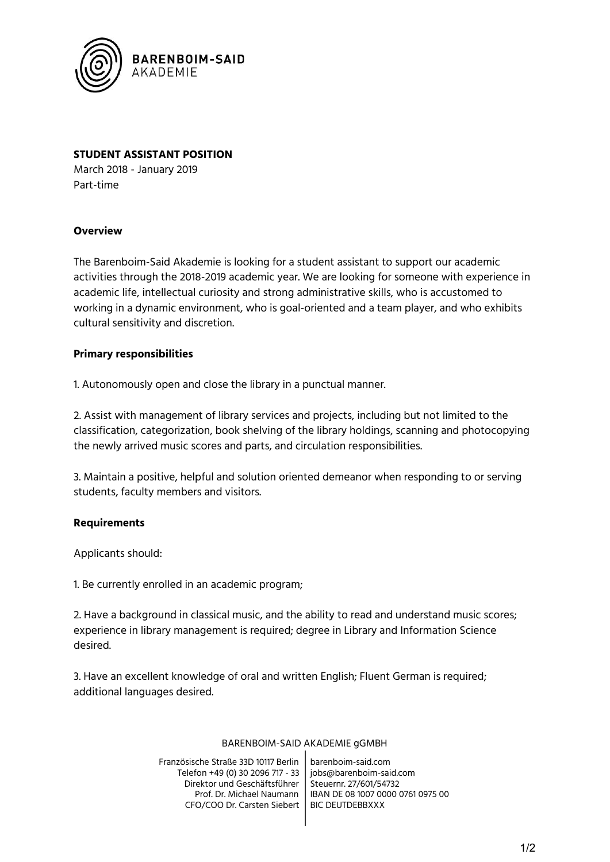

# **STUDENT ASSISTANT POSITION**

March 2018 - January 2019 Part-time

### **Overview**

The Barenboim-Said Akademie is looking for a student assistant to support our academic activities through the 2018-2019 academic year. We are looking for someone with experience in academic life, intellectual curiosity and strong administrative skills, who is accustomed to working in a dynamic environment, who is goal-oriented and a team player, and who exhibits cultural sensitivity and discretion.

## **Primary responsibilities**

1. Autonomously open and close the library in a punctual manner.

2. Assist with management of library services and projects, including but not limited to the classification, categorization, book shelving of the library holdings, scanning and photocopying the newly arrived music scores and parts, and circulation responsibilities.

3. Maintain a positive, helpful and solution oriented demeanor when responding to or serving students, faculty members and visitors.

### **Requirements**

Applicants should:

1. Be currently enrolled in an academic program;

2. Have a background in classical music, and the ability to read and understand music scores; experience in library management is required; degree in Library and Information Science desired.

3. Have an excellent knowledge of oral and written English; Fluent German is required; additional languages desired.

#### BARENBOIM-SAID AKADEMIE gGMBH

Französische Straße 33D 10117 Berlin Telefon +49 (0) 30 2096 717 - 33 Direktor und Geschäftsführer Prof. Dr. Michael Naumann CFO/COO Dr. Carsten Siebert barenboim-said.com jobs@barenboim-said.com Steuernr. 27/601/54732 IBAN DE 08 1007 0000 0761 0975 00 BIC DEUTDEBBXXX